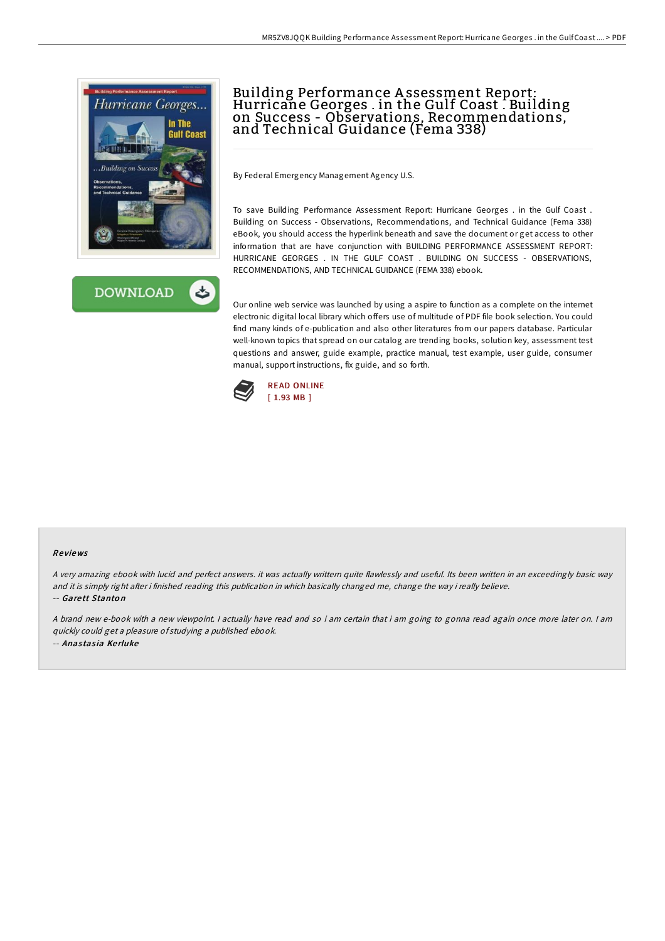



# Building Performance A ssessment Report: Hurricane Georges . in the Gulf Coast . Building on Success - Observations, Recommendations, and Technical Guidance (Fema 338)

By Federal Emergency Management Agency U.S.

To save Building Performance Assessment Report: Hurricane Georges . in the Gulf Coast . Building on Success - Observations, Recommendations, and Technical Guidance (Fema 338) eBook, you should access the hyperlink beneath and save the document or get access to other information that are have conjunction with BUILDING PERFORMANCE ASSESSMENT REPORT: HURRICANE GEORGES . IN THE GULF COAST . BUILDING ON SUCCESS - OBSERVATIONS, RECOMMENDATIONS, AND TECHNICAL GUIDANCE (FEMA 338) ebook.

Our online web service was launched by using a aspire to function as a complete on the internet electronic digital local library which offers use of multitude of PDF file book selection. You could find many kinds of e-publication and also other literatures from our papers database. Particular well-known topics that spread on our catalog are trending books, solution key, assessment test questions and answer, guide example, practice manual, test example, user guide, consumer manual, support instructions, fix guide, and so forth.



#### Re views

<sup>A</sup> very amazing ebook with lucid and perfect answers. it was actually writtern quite flawlessly and useful. Its been written in an exceedingly basic way and it is simply right after i finished reading this publication in which basically changed me, change the way i really believe. -- Gare tt Stanto n

A brand new e-book with <sup>a</sup> new viewpoint. I actually have read and so i am certain that i am going to gonna read again once more later on. I am quickly could get <sup>a</sup> pleasure of studying <sup>a</sup> published ebook. -- Anastasia Kerluke